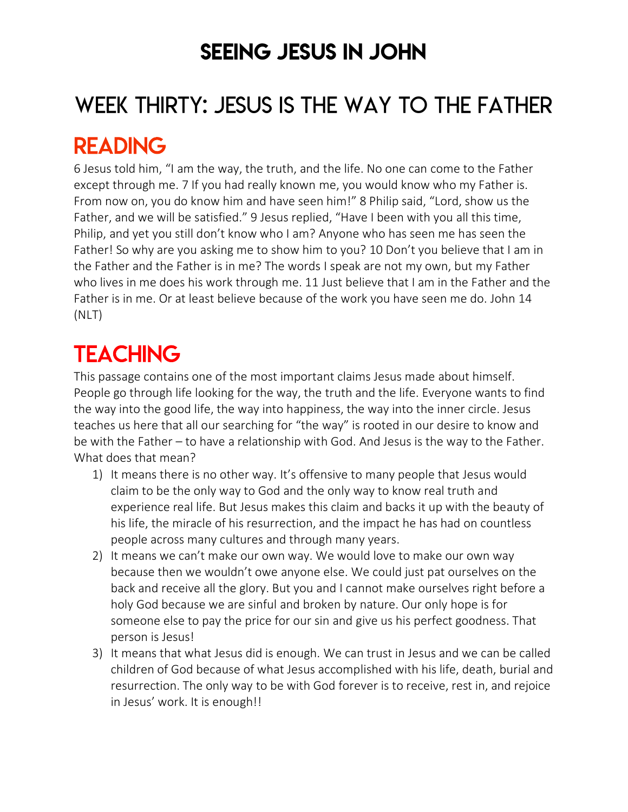## SEEING JESUS IN JOHN

# WEEK THIRTY: JESUS IS THE WAY TO THE FATHER

## READING

6 Jesus told him, "I am the way, the truth, and the life. No one can come to the Father except through me. 7 If you had really known me, you would know who my Father is. From now on, you do know him and have seen him!" 8 Philip said, "Lord, show us the Father, and we will be satisfied." 9 Jesus replied, "Have I been with you all this time, Philip, and yet you still don't know who I am? Anyone who has seen me has seen the Father! So why are you asking me to show him to you? 10 Don't you believe that I am in the Father and the Father is in me? The words I speak are not my own, but my Father who lives in me does his work through me. 11 Just believe that I am in the Father and the Father is in me. Or at least believe because of the work you have seen me do. John 14 (NLT)

# **TEACHING**

This passage contains one of the most important claims Jesus made about himself. People go through life looking for the way, the truth and the life. Everyone wants to find the way into the good life, the way into happiness, the way into the inner circle. Jesus teaches us here that all our searching for "the way" is rooted in our desire to know and be with the Father – to have a relationship with God. And Jesus is the way to the Father. What does that mean?

- 1) It means there is no other way. It's offensive to many people that Jesus would claim to be the only way to God and the only way to know real truth and experience real life. But Jesus makes this claim and backs it up with the beauty of his life, the miracle of his resurrection, and the impact he has had on countless people across many cultures and through many years.
- 2) It means we can't make our own way. We would love to make our own way because then we wouldn't owe anyone else. We could just pat ourselves on the back and receive all the glory. But you and I cannot make ourselves right before a holy God because we are sinful and broken by nature. Our only hope is for someone else to pay the price for our sin and give us his perfect goodness. That person is Jesus!
- 3) It means that what Jesus did is enough. We can trust in Jesus and we can be called children of God because of what Jesus accomplished with his life, death, burial and resurrection. The only way to be with God forever is to receive, rest in, and rejoice in Jesus' work. It is enough!!